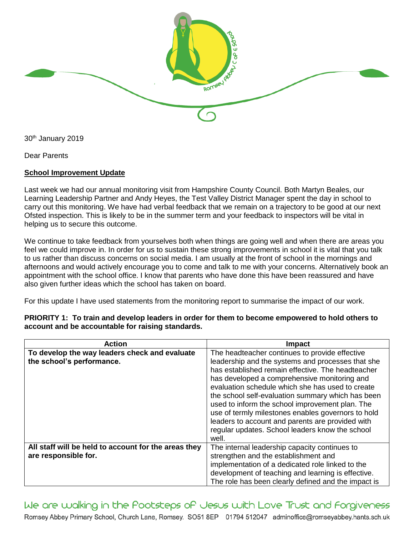

30th January 2019

Dear Parents

## **School Improvement Update**

Last week we had our annual monitoring visit from Hampshire County Council. Both Martyn Beales, our Learning Leadership Partner and Andy Heyes, the Test Valley District Manager spent the day in school to carry out this monitoring. We have had verbal feedback that we remain on a trajectory to be good at our next Ofsted inspection. This is likely to be in the summer term and your feedback to inspectors will be vital in helping us to secure this outcome.

We continue to take feedback from yourselves both when things are going well and when there are areas you feel we could improve in. In order for us to sustain these strong improvements in school it is vital that you talk to us rather than discuss concerns on social media. I am usually at the front of school in the mornings and afternoons and would actively encourage you to come and talk to me with your concerns. Alternatively book an appointment with the school office. I know that parents who have done this have been reassured and have also given further ideas which the school has taken on board.

For this update I have used statements from the monitoring report to summarise the impact of our work.

| <b>Action</b>                                                                | <b>Impact</b>                                                                                                                                                                                                                                                                                                                                                                                                                                                                                                                              |
|------------------------------------------------------------------------------|--------------------------------------------------------------------------------------------------------------------------------------------------------------------------------------------------------------------------------------------------------------------------------------------------------------------------------------------------------------------------------------------------------------------------------------------------------------------------------------------------------------------------------------------|
| To develop the way leaders check and evaluate<br>the school's performance.   | The headteacher continues to provide effective<br>leadership and the systems and processes that she<br>has established remain effective. The headteacher<br>has developed a comprehensive monitoring and<br>evaluation schedule which she has used to create<br>the school self-evaluation summary which has been<br>used to inform the school improvement plan. The<br>use of termly milestones enables governors to hold<br>leaders to account and parents are provided with<br>regular updates. School leaders know the school<br>well. |
| All staff will be held to account for the areas they<br>are responsible for. | The internal leadership capacity continues to<br>strengthen and the establishment and<br>implementation of a dedicated role linked to the<br>development of teaching and learning is effective.<br>The role has been clearly defined and the impact is                                                                                                                                                                                                                                                                                     |

**PRIORITY 1: To train and develop leaders in order for them to become empowered to hold others to account and be accountable for raising standards.**

We are walking in the Pootsteps of Jesus with Love Trust and Forgiveness Romsey Abbey Primary School, Church Lane, Romsey. SO51 8EP 01794 512047 adminoffice@romseyabbey.hants.sch.uk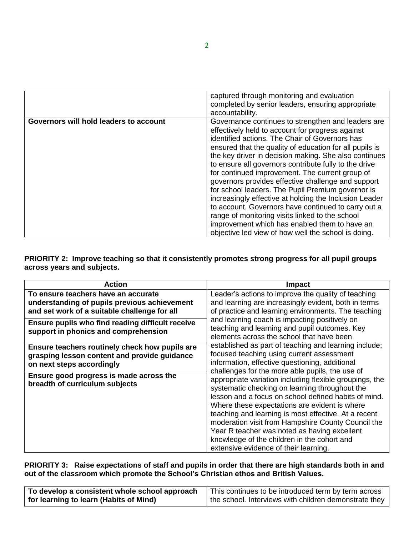|                                        | captured through monitoring and evaluation              |
|----------------------------------------|---------------------------------------------------------|
|                                        | completed by senior leaders, ensuring appropriate       |
|                                        | accountability.                                         |
| Governors will hold leaders to account | Governance continues to strengthen and leaders are      |
|                                        | effectively held to account for progress against        |
|                                        | identified actions. The Chair of Governors has          |
|                                        | ensured that the quality of education for all pupils is |
|                                        | the key driver in decision making. She also continues   |
|                                        | to ensure all governors contribute fully to the drive   |
|                                        | for continued improvement. The current group of         |
|                                        | governors provides effective challenge and support      |
|                                        | for school leaders. The Pupil Premium governor is       |
|                                        | increasingly effective at holding the Inclusion Leader  |
|                                        | to account. Governors have continued to carry out a     |
|                                        | range of monitoring visits linked to the school         |
|                                        | improvement which has enabled them to have an           |
|                                        | objective led view of how well the school is doing.     |

## **PRIORITY 2: Improve teaching so that it consistently promotes strong progress for all pupil groups across years and subjects.**

| <b>Action</b>                                                                                                                       | Impact                                                                                                                                                                                                                                                                                                                                                                                                                                                                                                                                                                                                                                                                                                                                                                                                                                                                                                                                                                                                   |
|-------------------------------------------------------------------------------------------------------------------------------------|----------------------------------------------------------------------------------------------------------------------------------------------------------------------------------------------------------------------------------------------------------------------------------------------------------------------------------------------------------------------------------------------------------------------------------------------------------------------------------------------------------------------------------------------------------------------------------------------------------------------------------------------------------------------------------------------------------------------------------------------------------------------------------------------------------------------------------------------------------------------------------------------------------------------------------------------------------------------------------------------------------|
| To ensure teachers have an accurate<br>understanding of pupils previous achievement<br>and set work of a suitable challenge for all | Leader's actions to improve the quality of teaching<br>and learning are increasingly evident, both in terms<br>of practice and learning environments. The teaching<br>and learning coach is impacting positively on<br>teaching and learning and pupil outcomes. Key<br>elements across the school that have been<br>established as part of teaching and learning include;<br>focused teaching using current assessment<br>information, effective questioning, additional<br>challenges for the more able pupils, the use of<br>appropriate variation including flexible groupings, the<br>systematic checking on learning throughout the<br>lesson and a focus on school defined habits of mind.<br>Where these expectations are evident is where<br>teaching and learning is most effective. At a recent<br>moderation visit from Hampshire County Council the<br>Year R teacher was noted as having excellent<br>knowledge of the children in the cohort and<br>extensive evidence of their learning. |
| Ensure pupils who find reading difficult receive<br>support in phonics and comprehension                                            |                                                                                                                                                                                                                                                                                                                                                                                                                                                                                                                                                                                                                                                                                                                                                                                                                                                                                                                                                                                                          |
| Ensure teachers routinely check how pupils are<br>grasping lesson content and provide guidance<br>on next steps accordingly         |                                                                                                                                                                                                                                                                                                                                                                                                                                                                                                                                                                                                                                                                                                                                                                                                                                                                                                                                                                                                          |
| Ensure good progress is made across the<br>breadth of curriculum subjects                                                           |                                                                                                                                                                                                                                                                                                                                                                                                                                                                                                                                                                                                                                                                                                                                                                                                                                                                                                                                                                                                          |

## **PRIORITY 3: Raise expectations of staff and pupils in order that there are high standards both in and out of the classroom which promote the School's Christian ethos and British Values.**

| To develop a consistent whole school approach | This continues to be introduced term by term across   |
|-----------------------------------------------|-------------------------------------------------------|
| for learning to learn (Habits of Mind)        | the school. Interviews with children demonstrate they |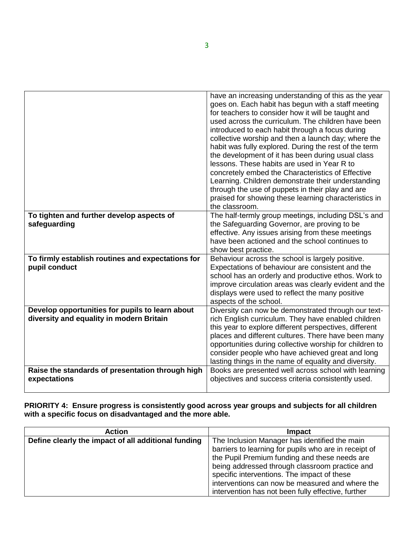|                                                                                             | have an increasing understanding of this as the year<br>goes on. Each habit has begun with a staff meeting<br>for teachers to consider how it will be taught and<br>used across the curriculum. The children have been<br>introduced to each habit through a focus during<br>collective worship and then a launch day; where the<br>habit was fully explored. During the rest of the term<br>the development of it has been during usual class<br>lessons. These habits are used in Year R to<br>concretely embed the Characteristics of Effective<br>Learning. Children demonstrate their understanding<br>through the use of puppets in their play and are<br>praised for showing these learning characteristics in<br>the classroom. |
|---------------------------------------------------------------------------------------------|-----------------------------------------------------------------------------------------------------------------------------------------------------------------------------------------------------------------------------------------------------------------------------------------------------------------------------------------------------------------------------------------------------------------------------------------------------------------------------------------------------------------------------------------------------------------------------------------------------------------------------------------------------------------------------------------------------------------------------------------|
| To tighten and further develop aspects of<br>safeguarding                                   | The half-termly group meetings, including DSL's and<br>the Safeguarding Governor, are proving to be<br>effective. Any issues arising from these meetings<br>have been actioned and the school continues to<br>show best practice.                                                                                                                                                                                                                                                                                                                                                                                                                                                                                                       |
| To firmly establish routines and expectations for<br>pupil conduct                          | Behaviour across the school is largely positive.<br>Expectations of behaviour are consistent and the<br>school has an orderly and productive ethos. Work to<br>improve circulation areas was clearly evident and the<br>displays were used to reflect the many positive<br>aspects of the school.                                                                                                                                                                                                                                                                                                                                                                                                                                       |
| Develop opportunities for pupils to learn about<br>diversity and equality in modern Britain | Diversity can now be demonstrated through our text-<br>rich English curriculum. They have enabled children<br>this year to explore different perspectives, different<br>places and different cultures. There have been many<br>opportunities during collective worship for children to<br>consider people who have achieved great and long<br>lasting things in the name of equality and diversity.                                                                                                                                                                                                                                                                                                                                     |
| Raise the standards of presentation through high<br>expectations                            | Books are presented well across school with learning<br>objectives and success criteria consistently used.                                                                                                                                                                                                                                                                                                                                                                                                                                                                                                                                                                                                                              |

**PRIORITY 4: Ensure progress is consistently good across year groups and subjects for all children with a specific focus on disadvantaged and the more able.**

| <b>Action</b>                                       | Impact                                                |
|-----------------------------------------------------|-------------------------------------------------------|
| Define clearly the impact of all additional funding | The Inclusion Manager has identified the main         |
|                                                     | barriers to learning for pupils who are in receipt of |
|                                                     | the Pupil Premium funding and these needs are         |
|                                                     | being addressed through classroom practice and        |
|                                                     | specific interventions. The impact of these           |
|                                                     | interventions can now be measured and where the       |
|                                                     | intervention has not been fully effective, further    |